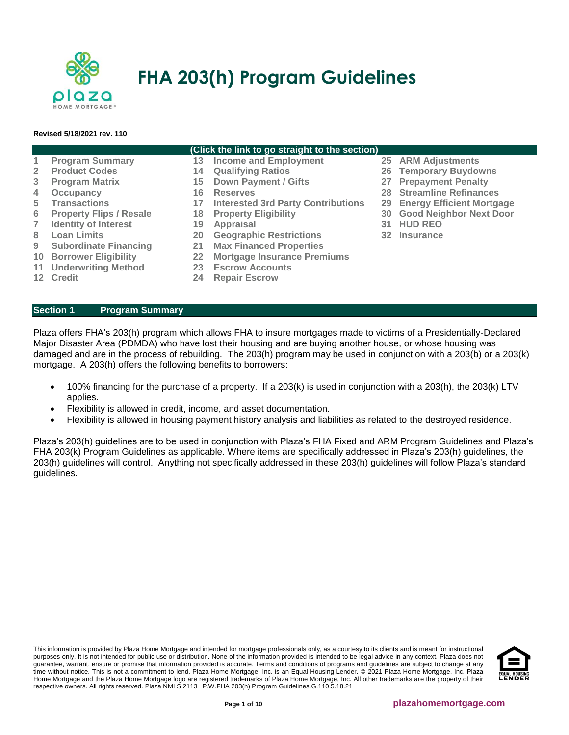

# **FHA 203(h) Program Guidelines**

#### **Revised 5/18/2021 rev. 110**

# **(Click the link to go straight to the section) 1 [Program Summary](#page-0-0) 13 [Income and Employment](#page-4-0) 25 [ARM Adjustments](#page-8-0) 2 [Product Codes](#page-1-0) 14 [Qualifying Ratios](#page-5-0) 26 [Temporary Buydowns](#page-8-1) 3 [Program Matrix](#page-1-1) 15 [Down Payment / Gifts](#page-5-1) 27 [Prepayment Penalty](#page-8-2) 4 [Occupancy](#page-1-2) 16 [Reserves](#page-5-2) 28 [Streamline Refinances](#page-8-3)**

- 
- 
- **7 [Identity of Interest](#page-2-1) 19 [Appraisal](#page-6-1) 31 [HUD REO](#page-9-1)**
- 
- 
- 
- **11 [Underwriting Method](#page-3-0) 23 [Escrow Accounts](#page-7-2)**
- 

# <span id="page-0-0"></span>**Section 1 Program Summary**

- **5 [Transactions](#page-1-3) 17 [Interested 3rd Party Contributions](#page-5-3) 29 [Energy Efficient Mortgage](#page-8-4)**
	-
	-
- **8 [Loan Limits](#page-2-2) 20 [Geographic Restrictions](#page-6-2) 32 [Insurance](#page-9-2)**
- **9 [Subordinate Financing](#page-2-3) 21 [Max Financed Properties](#page-7-0)**
- **10 [Borrower Eligibility](#page-2-4) 22 [Mortgage Insurance Premiums](#page-7-1)**
	-
- **12 [Credit](#page-3-1) 24 [Repair Escrow](#page-8-5)**
- 
- 
- 
- 
- 
- **6 [Property Flips / Resale](#page-2-0) 18 [Property Eligibility](#page-6-0) 30 [Good Neighbor Next Door](#page-9-0)**
	-
	-

Plaza offers FHA's 203(h) program which allows FHA to insure mortgages made to victims of a Presidentially-Declared Major Disaster Area (PDMDA) who have lost their housing and are buying another house, or whose housing was damaged and are in the process of rebuilding. The 203(h) program may be used in conjunction with a 203(b) or a 203(k) mortgage. A 203(h) offers the following benefits to borrowers:

- 100% financing for the purchase of a property. If a 203(k) is used in conjunction with a 203(h), the 203(k) LTV applies.
- Flexibility is allowed in credit, income, and asset documentation.
- Flexibility is allowed in housing payment history analysis and liabilities as related to the destroyed residence.

Plaza's 203(h) guidelines are to be used in conjunction with Plaza's FHA Fixed and ARM Program Guidelines and Plaza's FHA 203(k) Program Guidelines as applicable. Where items are specifically addressed in Plaza's 203(h) guidelines, the 203(h) guidelines will control. Anything not specifically addressed in these 203(h) guidelines will follow Plaza's standard guidelines.

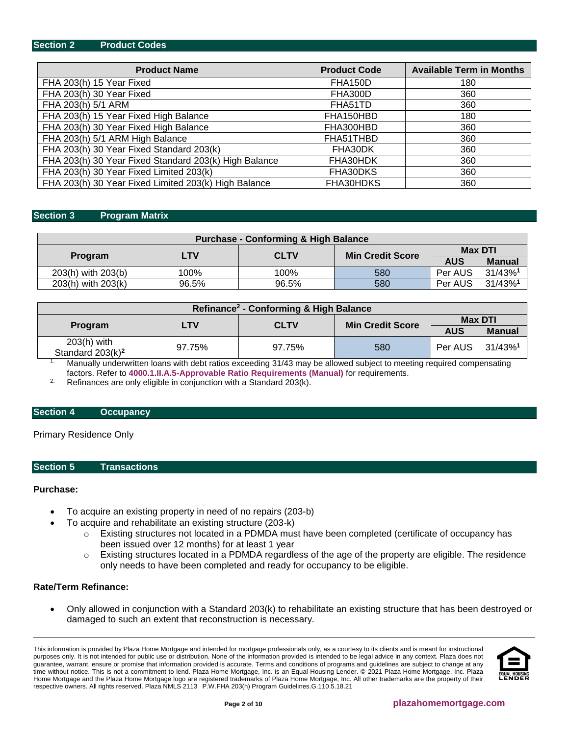## <span id="page-1-0"></span>**Section 2 Product Codes**

| <b>Product Name</b>                                   | <b>Product Code</b> | <b>Available Term in Months</b> |
|-------------------------------------------------------|---------------------|---------------------------------|
| FHA 203(h) 15 Year Fixed                              | FHA150D             | 180                             |
| FHA 203(h) 30 Year Fixed                              | FHA300D             | 360                             |
| FHA 203(h) 5/1 ARM                                    | FHA51TD             | 360                             |
| FHA 203(h) 15 Year Fixed High Balance                 | FHA150HBD           | 180                             |
| FHA 203(h) 30 Year Fixed High Balance                 | FHA300HBD           | 360                             |
| FHA 203(h) 5/1 ARM High Balance                       | FHA51THBD           | 360                             |
| FHA 203(h) 30 Year Fixed Standard 203(k)              | FHA30DK             | 360                             |
| FHA 203(h) 30 Year Fixed Standard 203(k) High Balance | FHA30HDK            | 360                             |
| FHA 203(h) 30 Year Fixed Limited 203(k)               | FHA30DKS            | 360                             |
| FHA 203(h) 30 Year Fixed Limited 203(k) High Balance  | FHA30HDKS           | 360                             |

#### <span id="page-1-1"></span>**Section 3 Program Matrix**

| <b>Purchase - Conforming &amp; High Balance</b> |       |             |                         |            |                        |  |  |  |
|-------------------------------------------------|-------|-------------|-------------------------|------------|------------------------|--|--|--|
| <b>Max DTI</b>                                  |       |             |                         |            |                        |  |  |  |
| <b>Program</b>                                  | 4TV.  | <b>CLTV</b> | <b>Min Credit Score</b> | <b>AUS</b> | <b>Manual</b>          |  |  |  |
| 203(h) with 203(b)                              | 100%  | 100%        | 580                     | Per AUS    | $31/43\%$ <sup>1</sup> |  |  |  |
| 203(h) with 203(k)                              | 96.5% | 96.5%       | 580                     | Per AUS    | $31/43\%$ <sup>1</sup> |  |  |  |

| Refinance <sup>2</sup> - Conforming & High Balance |         |             |                         |            |                        |  |  |
|----------------------------------------------------|---------|-------------|-------------------------|------------|------------------------|--|--|
|                                                    | Max DTI |             |                         |            |                        |  |  |
| <b>Program</b>                                     | LTV     | <b>CLTV</b> | <b>Min Credit Score</b> | <b>AUS</b> | <b>Manual</b>          |  |  |
| $203(h)$ with<br>Standard 203(k) <sup>2</sup>      | 97.75%  | 97.75%      | 580                     | Per AUS    | $31/43\%$ <sup>1</sup> |  |  |

<sup>1.</sup> Manually underwritten loans with debt ratios exceeding 31/43 may be allowed subject to meeting required compensating factors. Refer to **[4000.1.II.A.5-Approvable Ratio Requirements \(Manual\)](http://portal.hud.gov/hudportal/documents/huddoc?id=40001HSGH.pdf#page=324)** for requirements.

<sup>2.</sup> Refinances are only eligible in conjunction with a Standard 203(k).

# <span id="page-1-2"></span>**Section 4 Occupancy**

Primary Residence Only

#### <span id="page-1-3"></span>**Section 5 Transactions**

#### **Purchase:**

- To acquire an existing property in need of no repairs (203-b)
- To acquire and rehabilitate an existing structure (203-k)
	- $\circ$  Existing structures not located in a PDMDA must have been completed (certificate of occupancy has been issued over 12 months) for at least 1 year
	- o Existing structures located in a PDMDA regardless of the age of the property are eligible. The residence only needs to have been completed and ready for occupancy to be eligible.

# **Rate/Term Refinance:**

• Only allowed in conjunction with a Standard 203(k) to rehabilitate an existing structure that has been destroyed or damaged to such an extent that reconstruction is necessary.

This information is provided by Plaza Home Mortgage and intended for mortgage professionals only, as a courtesy to its clients and is meant for instructional purposes only. It is not intended for public use or distribution. None of the information provided is intended to be legal advice in any context. Plaza does not guarantee, warrant, ensure or promise that information provided is accurate. Terms and conditions of programs and guidelines are subject to change at any time without notice. This is not a commitment to lend. Plaza Home Mortgage, Inc. is an Equal Housing Lender. © 2021 Plaza Home Mortgage, Inc. Plaza Home Mortgage and the Plaza Home Mortgage logo are registered trademarks of Plaza Home Mortgage, Inc. All other trademarks are the property of their respective owners. All rights reserved. Plaza NMLS 2113 P.W.FHA 203(h) Program Guidelines.G.110.5.18.21

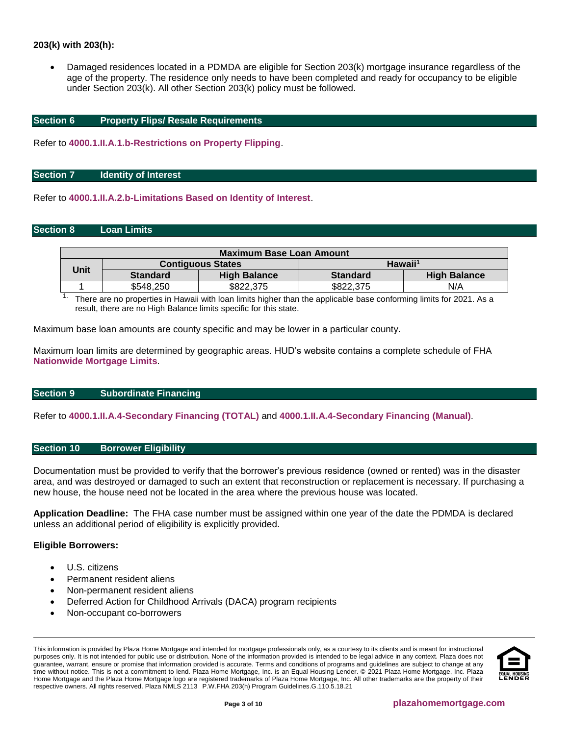# **203(k) with 203(h):**

• Damaged residences located in a PDMDA are eligible for Section 203(k) mortgage insurance regardless of the age of the property. The residence only needs to have been completed and ready for occupancy to be eligible under Section 203(k). All other Section 203(k) policy must be followed.

# <span id="page-2-0"></span>**Section 6 Property Flips/ Resale Requirements**

Refer to **[4000.1.II.A.1.b-Restrictions on Property Flipping](http://portal.hud.gov/hudportal/documents/huddoc?id=40001HSGH.pdf#page=152)**.

#### <span id="page-2-1"></span>**Section 7 Identity of Interest**

Refer to **[4000.1.II.A.2.b-Limitations Based on Identity of Interest](http://portal.hud.gov/hudportal/documents/huddoc?id=40001HSGH.pdf#page=165)**.

## <span id="page-2-2"></span>**Section 8 Loan Limits**

| Maximum Base Loan Amount |                 |                          |                     |                     |  |  |  |  |
|--------------------------|-----------------|--------------------------|---------------------|---------------------|--|--|--|--|
| Unit                     |                 | <b>Contiguous States</b> | Hawaii <sup>1</sup> |                     |  |  |  |  |
|                          | <b>Standard</b> | <b>High Balance</b>      | <b>Standard</b>     | <b>High Balance</b> |  |  |  |  |
|                          | \$548,250       | \$822,375                | \$822.375           | N/A                 |  |  |  |  |

1. There are no properties in Hawaii with loan limits higher than the applicable base conforming limits for 2021. As a result, there are no High Balance limits specific for this state.

Maximum base loan amounts are county specific and may be lower in a particular county.

Maximum loan limits are determined by geographic areas. HUD's website contains a complete schedule of FHA **[Nationwide Mortgage Limits](https://entp.hud.gov/idapp/html/hicostlook.cfm)**.

## <span id="page-2-3"></span>**Section 9 Subordinate Financing**

Refer to **[4000.1.II.A.4-Secondary Financing \(TOTAL\)](http://portal.hud.gov/hudportal/documents/huddoc?id=40001HSGH.pdf#page=235)** and **[4000.1.II.A.4-Secondary Financing \(Manual\)](http://portal.hud.gov/hudportal/documents/huddoc?id=40001HSGH.pdf#page=308)**.

## <span id="page-2-4"></span>**Section 10 Borrower Eligibility**

Documentation must be provided to verify that the borrower's previous residence (owned or rented) was in the disaster area, and was destroyed or damaged to such an extent that reconstruction or replacement is necessary. If purchasing a new house, the house need not be located in the area where the previous house was located.

**Application Deadline:** The FHA case number must be assigned within one year of the date the PDMDA is declared unless an additional period of eligibility is explicitly provided.

#### **Eligible Borrowers:**

- U.S. citizens
- Permanent resident aliens
- Non-permanent resident aliens
- Deferred Action for Childhood Arrivals (DACA) program recipients
- Non-occupant co-borrowers

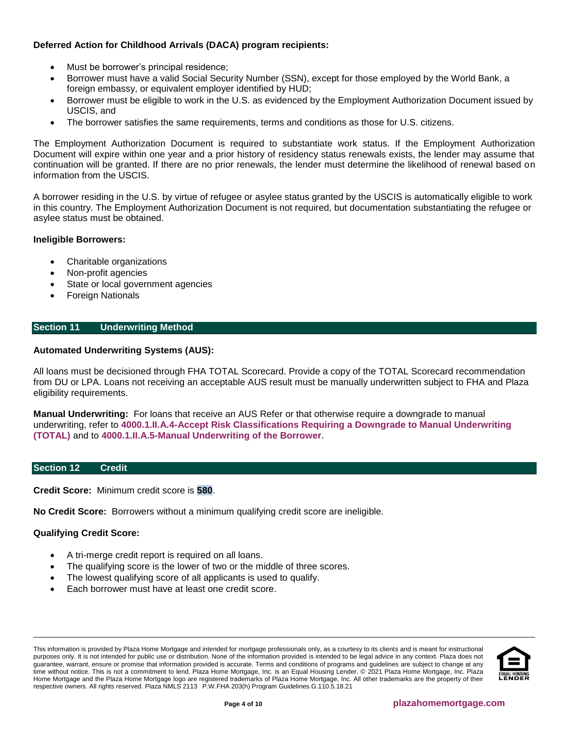# **Deferred Action for Childhood Arrivals (DACA) program recipients:**

- Must be borrower's principal residence;
- Borrower must have a valid Social Security Number (SSN), except for those employed by the World Bank, a foreign embassy, or equivalent employer identified by HUD;
- Borrower must be eligible to work in the U.S. as evidenced by the Employment Authorization Document issued by USCIS, and
- The borrower satisfies the same requirements, terms and conditions as those for U.S. citizens.

The Employment Authorization Document is required to substantiate work status. If the Employment Authorization Document will expire within one year and a prior history of residency status renewals exists, the lender may assume that continuation will be granted. If there are no prior renewals, the lender must determine the likelihood of renewal based on information from the USCIS.

A borrower residing in the U.S. by virtue of refugee or asylee status granted by the USCIS is automatically eligible to work in this country. The Employment Authorization Document is not required, but documentation substantiating the refugee or asylee status must be obtained.

# **Ineligible Borrowers:**

- Charitable organizations
- Non-profit agencies
- State or local government agencies
- Foreign Nationals

# <span id="page-3-0"></span>**Section 11 Underwriting Method**

# **Automated Underwriting Systems (AUS):**

All loans must be decisioned through FHA TOTAL Scorecard. Provide a copy of the TOTAL Scorecard recommendation from DU or LPA. Loans not receiving an acceptable AUS result must be manually underwritten subject to FHA and Plaza eligibility requirements.

**Manual Underwriting:** For loans that receive an AUS Refer or that otherwise require a downgrade to manual underwriting, refer to **[4000.1.II.A.4-Accept Risk Classifications Requiring a Downgrade to Manual Underwriting](http://portal.hud.gov/hudportal/documents/huddoc?id=40001HSGH.pdf#page=148) [\(TOTAL\)](http://portal.hud.gov/hudportal/documents/huddoc?id=40001HSGH.pdf#page=148)** and to **[4000.1.II.A.5-Manual Underwriting of the Borrower](http://portal.hud.gov/hudportal/documents/huddoc?id=40001HSGH.pdf#page=250)**.

# <span id="page-3-1"></span>**Section 12 Credit**

**Credit Score:** Minimum credit score is **580**.

**No Credit Score:** Borrowers without a minimum qualifying credit score are ineligible.

# **Qualifying Credit Score:**

- A tri-merge credit report is required on all loans.
- The qualifying score is the lower of two or the middle of three scores.
- The lowest qualifying score of all applicants is used to qualify.
- Each borrower must have at least one credit score.

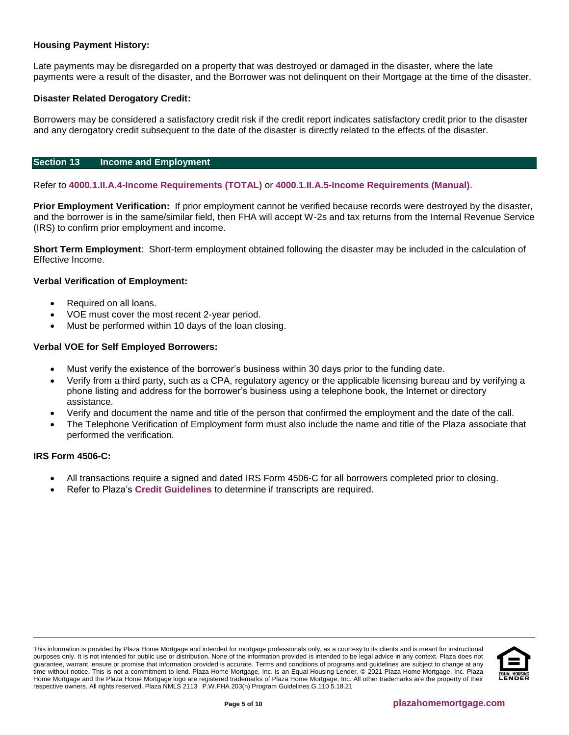# **Housing Payment History:**

Late payments may be disregarded on a property that was destroyed or damaged in the disaster, where the late payments were a result of the disaster, and the Borrower was not delinquent on their Mortgage at the time of the disaster.

# **Disaster Related Derogatory Credit:**

Borrowers may be considered a satisfactory credit risk if the credit report indicates satisfactory credit prior to the disaster and any derogatory credit subsequent to the date of the disaster is directly related to the effects of the disaster.

# <span id="page-4-0"></span>**Section 13 Income and Employment**

Refer to **[4000.1.II.A.4-Income Requirements \(TOTAL\)](http://portal.hud.gov/hudportal/documents/huddoc?id=40001HSGH.pdf#page=198)** or **[4000.1.II.A.5-Income Requirements \(Manual\)](http://portal.hud.gov/hudportal/documents/huddoc?id=40001HSGH.pdf#page=271)**.

**Prior Employment Verification:** If prior employment cannot be verified because records were destroyed by the disaster, and the borrower is in the same/similar field, then FHA will accept W-2s and tax returns from the Internal Revenue Service (IRS) to confirm prior employment and income.

**Short Term Employment**: Short-term employment obtained following the disaster may be included in the calculation of Effective Income.

## **Verbal Verification of Employment:**

- Required on all loans.
- VOE must cover the most recent 2-year period.
- Must be performed within 10 days of the loan closing.

## **Verbal VOE for Self Employed Borrowers:**

- Must verify the existence of the borrower's business within 30 days prior to the funding date.
- Verify from a third party, such as a CPA, regulatory agency or the applicable licensing bureau and by verifying a phone listing and address for the borrower's business using a telephone book, the Internet or directory assistance.
- Verify and document the name and title of the person that confirmed the employment and the date of the call.
- The Telephone Verification of Employment form must also include the name and title of the Plaza associate that performed the verification.

#### **IRS Form 4506-C:**

- All transactions require a signed and dated IRS Form 4506-C for all borrowers completed prior to closing.
- Refer to Plaza's **[Credit Guidelines](https://resourcecenter.plazahomemortgage.com/whocli/all/ec8a4379a5da48c807257cbc0054308f?opendocument)** to determine if transcripts are required.

This information is provided by Plaza Home Mortgage and intended for mortgage professionals only, as a courtesy to its clients and is meant for instructional purposes only. It is not intended for public use or distribution. None of the information provided is intended to be legal advice in any context. Plaza does not guarantee, warrant, ensure or promise that information provided is accurate. Terms and conditions of programs and guidelines are subject to change at any time without notice. This is not a commitment to lend. Plaza Home Mortgage, Inc. is an Equal Housing Lender. © 2021 Plaza Home Mortgage, Inc. Plaza Home Mortgage and the Plaza Home Mortgage logo are registered trademarks of Plaza Home Mortgage, Inc. All other trademarks are the property of their respective owners. All rights reserved. Plaza NMLS 2113 P.W.FHA 203(h) Program Guidelines.G.110.5.18.21

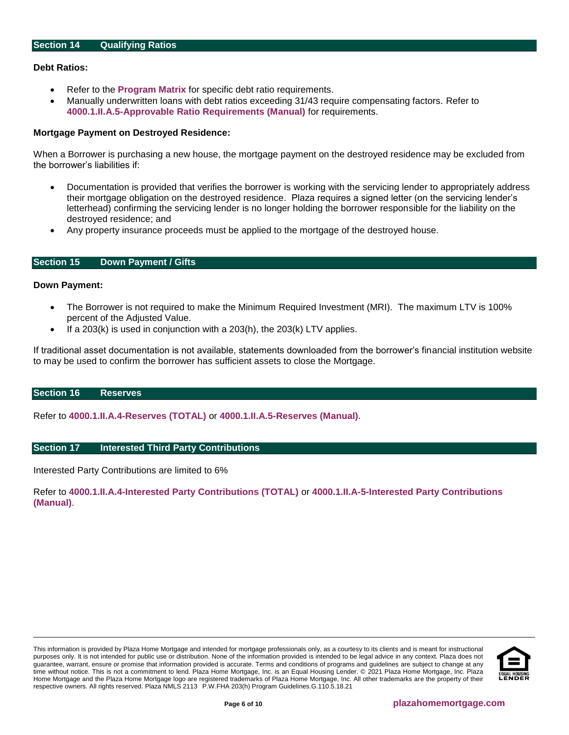## <span id="page-5-0"></span>**Debt Ratios:**

- Refer to the **[Program Matrix](#page-1-1)** for specific debt ratio requirements.
- Manually underwritten loans with debt ratios exceeding 31/43 require compensating factors. Refer to **[4000.1.II.A.5-Approvable Ratio Requirements \(Manual\)](http://portal.hud.gov/hudportal/documents/huddoc?id=40001HSGH.pdf#page=324)** for requirements.

# **Mortgage Payment on Destroyed Residence:**

When a Borrower is purchasing a new house, the mortgage payment on the destroyed residence may be excluded from the borrower's liabilities if:

- Documentation is provided that verifies the borrower is working with the servicing lender to appropriately address their mortgage obligation on the destroyed residence. Plaza requires a signed letter (on the servicing lender's letterhead) confirming the servicing lender is no longer holding the borrower responsible for the liability on the destroyed residence; and
- Any property insurance proceeds must be applied to the mortgage of the destroyed house.

# <span id="page-5-1"></span>**Section 15 Down Payment / Gifts**

#### **Down Payment:**

- The Borrower is not required to make the Minimum Required Investment (MRI). The maximum LTV is 100% percent of the Adjusted Value.
- If a  $203(k)$  is used in conjunction with a  $203(h)$ , the  $203(k)$  LTV applies.

If traditional asset documentation is not available, statements downloaded from the borrower's financial institution website to may be used to confirm the borrower has sufficient assets to close the Mortgage.

#### <span id="page-5-2"></span>**Section 16 Reserves**

Refer to **[4000.1.II.A.4-Reserves \(TOTAL\)](http://portal.hud.gov/hudportal/documents/huddoc?id=40001HSGH.pdf#page=225)** or **[4000.1.II.A.5-Reserves \(Manual\)](http://portal.hud.gov/hudportal/documents/huddoc?id=40001HSGH.pdf#page=298)**.

## <span id="page-5-3"></span>**Section 17 Interested Third Party Contributions**

Interested Party Contributions are limited to 6%

Refer to **[4000.1.II.A.4-Interested Party Contributions \(TOTAL\)](http://portal.hud.gov/hudportal/documents/huddoc?id=40001HSGH.pdf#page=232)** or **[4000.1.II.A-5-Interested Party Contributions](http://portal.hud.gov/hudportal/documents/huddoc?id=40001HSGH.pdf#page=305)  [\(Manual\)](http://portal.hud.gov/hudportal/documents/huddoc?id=40001HSGH.pdf#page=305)**.

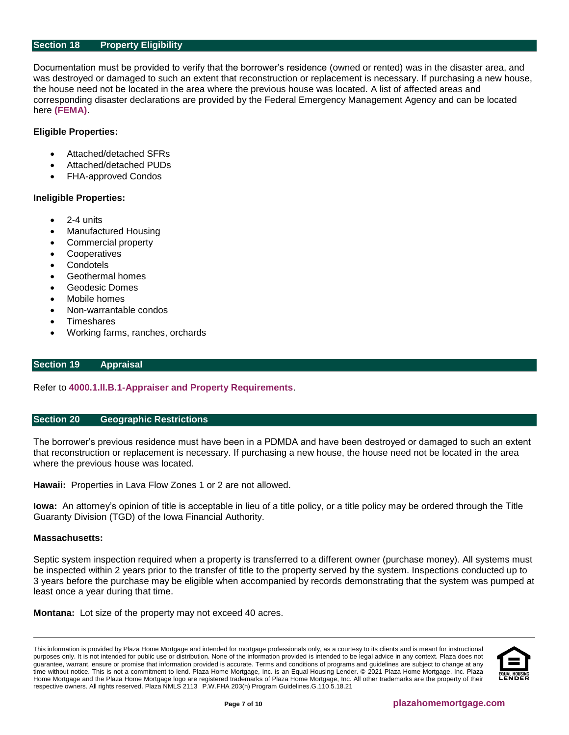# <span id="page-6-0"></span>**Section 18 Property Eligibility**

Documentation must be provided to verify that the borrower's residence (owned or rented) was in the disaster area, and was destroyed or damaged to such an extent that reconstruction or replacement is necessary. If purchasing a new house, the house need not be located in the area where the previous house was located. A list of affected areas and corresponding disaster declarations are provided by the Federal Emergency Management Agency and can be located here **[\(FEMA\)](http://www.fema.gov/disasters)**.

## **Eligible Properties:**

- Attached/detached SFRs
- Attached/detached PUDs
- FHA-approved Condos

#### **Ineligible Properties:**

- 2-4 units
- Manufactured Housing
- Commercial property
- **Cooperatives**
- **Condotels**
- Geothermal homes
- Geodesic Domes
- Mobile homes
- Non-warrantable condos
- **Timeshares**
- Working farms, ranches, orchards

## <span id="page-6-1"></span>**Section 19 Appraisal**

Refer to **[4000.1.II.B.1-Appraiser and Property Requirements](http://portal.hud.gov/hudportal/documents/huddoc?id=40001HSGH.pdf#page=476)**.

## <span id="page-6-2"></span>**Section 20 Geographic Restrictions**

The borrower's previous residence must have been in a PDMDA and have been destroyed or damaged to such an extent that reconstruction or replacement is necessary. If purchasing a new house, the house need not be located in the area where the previous house was located.

**Hawaii:** Properties in Lava Flow Zones 1 or 2 are not allowed.

**Iowa:** An attorney's opinion of title is acceptable in lieu of a title policy, or a title policy may be ordered through the Title Guaranty Division (TGD) of the Iowa Financial Authority.

#### **Massachusetts:**

Septic system inspection required when a property is transferred to a different owner (purchase money). All systems must be inspected within 2 years prior to the transfer of title to the property served by the system. Inspections conducted up to 3 years before the purchase may be eligible when accompanied by records demonstrating that the system was pumped at least once a year during that time.

**Montana:** Lot size of the property may not exceed 40 acres.

This information is provided by Plaza Home Mortgage and intended for mortgage professionals only, as a courtesy to its clients and is meant for instructional purposes only. It is not intended for public use or distribution. None of the information provided is intended to be legal advice in any context. Plaza does not guarantee, warrant, ensure or promise that information provided is accurate. Terms and conditions of programs and guidelines are subject to change at any time without notice. This is not a commitment to lend. Plaza Home Mortgage, Inc. is an Equal Housing Lender. © 2021 Plaza Home Mortgage, Inc. Plaza Home Mortgage and the Plaza Home Mortgage logo are registered trademarks of Plaza Home Mortgage, Inc. All other trademarks are the property of their respective owners. All rights reserved. Plaza NMLS 2113 P.W.FHA 203(h) Program Guidelines.G.110.5.18.21

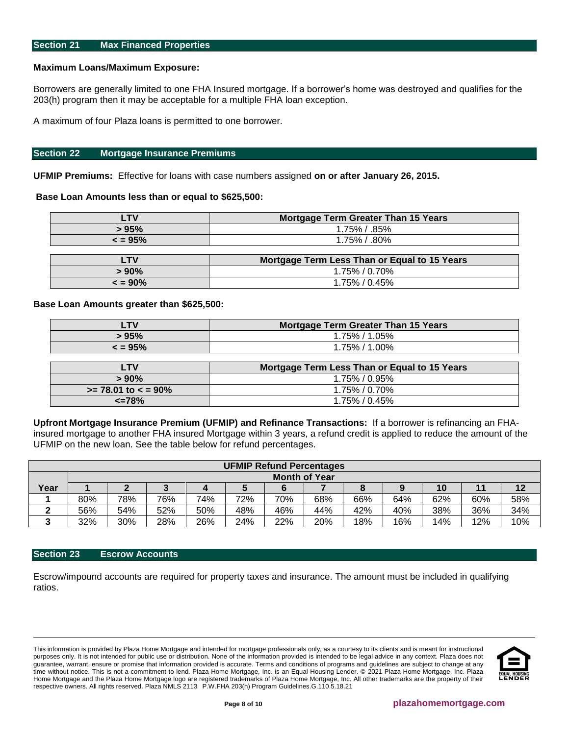#### <span id="page-7-0"></span>**Maximum Loans/Maximum Exposure:**

Borrowers are generally limited to one FHA Insured mortgage. If a borrower's home was destroyed and qualifies for the 203(h) program then it may be acceptable for a multiple FHA loan exception.

A maximum of four Plaza loans is permitted to one borrower.

#### <span id="page-7-1"></span>**Section 22 Mortgage Insurance Premiums**

**UFMIP Premiums:** Effective for loans with case numbers assigned **on or after January 26, 2015.**

## **Base Loan Amounts less than or equal to \$625,500:**

| LTV          | <b>Mortgage Term Greater Than 15 Years</b>   |
|--------------|----------------------------------------------|
| > 95%        | $1.75\%$ / .85%                              |
| $\leq$ = 95% | $1.75\%$ / .80%                              |
|              |                                              |
| <b>LTV</b>   | Mortgage Term Less Than or Equal to 15 Years |
| $> 90\%$     | $1.75\%$ / 0.70%                             |
| $\leq$ = 90% | $1.75\%$ / 0.45%                             |

## **Base Loan Amounts greater than \$625,500:**

| <b>LTV</b>             | <b>Mortgage Term Greater Than 15 Years</b>   |
|------------------------|----------------------------------------------|
| > 95%                  | 1.75% / 1.05%                                |
| $\leq$ = 95%           | $1.75\%$ / $1.00\%$                          |
|                        |                                              |
| <b>LTV</b>             | Mortgage Term Less Than or Equal to 15 Years |
| $> 90\%$               | 1.75% / 0.95%                                |
| $>= 78.01$ to $< 90\%$ | 1.75% / 0.70%                                |
| $\epsilon$ =78%        | 1.75% / 0.45%                                |

**Upfront Mortgage Insurance Premium (UFMIP) and Refinance Transactions:** If a borrower is refinancing an FHAinsured mortgage to another FHA insured Mortgage within 3 years, a refund credit is applied to reduce the amount of the UFMIP on the new loan. See the table below for refund percentages.

| <b>UFMIP Refund Percentages</b> |                      |                    |     |     |     |     |     |     |     |     |     |     |
|---------------------------------|----------------------|--------------------|-----|-----|-----|-----|-----|-----|-----|-----|-----|-----|
|                                 | <b>Month of Year</b> |                    |     |     |     |     |     |     |     |     |     |     |
| Year                            |                      | 12<br>10<br>л<br>ື |     |     |     |     |     |     |     |     |     |     |
|                                 | 80%                  | 78%                | 76% | 74% | 72% | 70% | 68% | 66% | 64% | 62% | 60% | 58% |
|                                 | 56%                  | 54%                | 52% | 50% | 48% | 46% | 44% | 42% | 40% | 38% | 36% | 34% |
| ◠<br>w                          | 32%                  | 30%                | 28% | 26% | 24% | 22% | 20% | 18% | 16% | 14% | 12% | 10% |

# <span id="page-7-2"></span>**Section 23 Escrow Accounts**

Escrow/impound accounts are required for property taxes and insurance. The amount must be included in qualifying ratios.

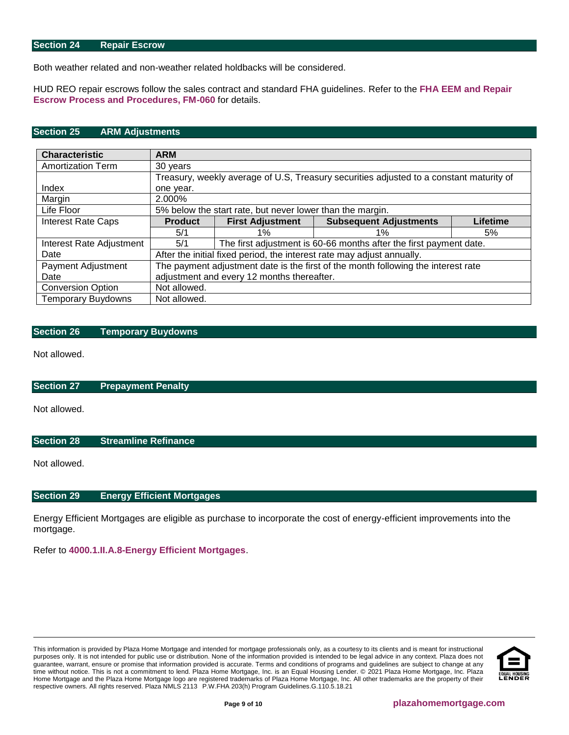## <span id="page-8-5"></span>**Section 24 Repair Escrow**

Both weather related and non-weather related holdbacks will be considered.

HUD REO repair escrows follow the sales contract and standard FHA guidelines. Refer to the **[FHA EEM and Repair](https://resourcecenter.plazahomemortgage.com/phmidocpublisher.nsf/All/03C490350EB14A58072579D600814100?OpenDocument)  [Escrow Process and Procedures, FM-060](https://resourcecenter.plazahomemortgage.com/phmidocpublisher.nsf/All/03C490350EB14A58072579D600814100?OpenDocument)** for details.

## <span id="page-8-0"></span>**Section 25 ARM Adjustments**

| <b>Characteristic</b>     | <b>ARM</b>                                                                              |                                                                      |                                                                        |    |  |  |  |  |  |
|---------------------------|-----------------------------------------------------------------------------------------|----------------------------------------------------------------------|------------------------------------------------------------------------|----|--|--|--|--|--|
| <b>Amortization Term</b>  | 30 years                                                                                |                                                                      |                                                                        |    |  |  |  |  |  |
|                           | Treasury, weekly average of U.S, Treasury securities adjusted to a constant maturity of |                                                                      |                                                                        |    |  |  |  |  |  |
| Index                     | one year.                                                                               |                                                                      |                                                                        |    |  |  |  |  |  |
| Margin                    | 2.000%                                                                                  |                                                                      |                                                                        |    |  |  |  |  |  |
| Life Floor                |                                                                                         | 5% below the start rate, but never lower than the margin.            |                                                                        |    |  |  |  |  |  |
| <b>Interest Rate Caps</b> | <b>Product</b>                                                                          | <b>Subsequent Adjustments</b><br><b>First Adjustment</b><br>Lifetime |                                                                        |    |  |  |  |  |  |
|                           | 5/1                                                                                     | $1\%$                                                                | $1\%$                                                                  | 5% |  |  |  |  |  |
| Interest Rate Adjustment  | 5/1                                                                                     |                                                                      | The first adjustment is 60-66 months after the first payment date.     |    |  |  |  |  |  |
| Date                      |                                                                                         |                                                                      | After the initial fixed period, the interest rate may adjust annually. |    |  |  |  |  |  |
| Payment Adjustment        | The payment adjustment date is the first of the month following the interest rate       |                                                                      |                                                                        |    |  |  |  |  |  |
| Date                      | adjustment and every 12 months thereafter.                                              |                                                                      |                                                                        |    |  |  |  |  |  |
| <b>Conversion Option</b>  | Not allowed.                                                                            |                                                                      |                                                                        |    |  |  |  |  |  |
| <b>Temporary Buydowns</b> | Not allowed.                                                                            |                                                                      |                                                                        |    |  |  |  |  |  |

## <span id="page-8-1"></span>**Section 26 Temporary Buydowns**

Not allowed.

<span id="page-8-2"></span>**Section 27 Prepayment Penalty**

Not allowed.

<span id="page-8-3"></span>**Section 28 Streamline Refinance**

Not allowed.

#### <span id="page-8-4"></span>**Section 29 Energy Efficient Mortgages**

Energy Efficient Mortgages are eligible as purchase to incorporate the cost of energy-efficient improvements into the mortgage.

Refer to **[4000.1.II.A.8-Energy Efficient Mortgages](http://portal.hud.gov/hudportal/documents/huddoc?id=40001HSGH.pdf#page=399)**.